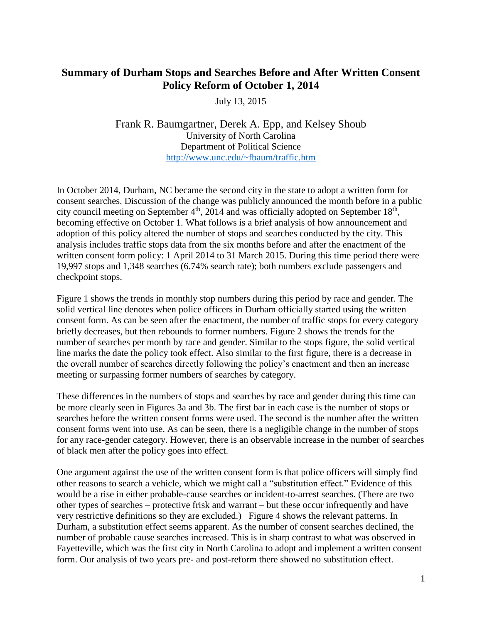## **Summary of Durham Stops and Searches Before and After Written Consent Policy Reform of October 1, 2014**

July 13, 2015

Frank R. Baumgartner, Derek A. Epp, and Kelsey Shoub University of North Carolina Department of Political Science <http://www.unc.edu/~fbaum/traffic.htm>

In October 2014, Durham, NC became the second city in the state to adopt a written form for consent searches. Discussion of the change was publicly announced the month before in a public city council meeting on September  $4<sup>th</sup>$ , 2014 and was officially adopted on September 18<sup>th</sup>, becoming effective on October 1. What follows is a brief analysis of how announcement and adoption of this policy altered the number of stops and searches conducted by the city. This analysis includes traffic stops data from the six months before and after the enactment of the written consent form policy: 1 April 2014 to 31 March 2015. During this time period there were 19,997 stops and 1,348 searches (6.74% search rate); both numbers exclude passengers and checkpoint stops.

Figure 1 shows the trends in monthly stop numbers during this period by race and gender. The solid vertical line denotes when police officers in Durham officially started using the written consent form. As can be seen after the enactment, the number of traffic stops for every category briefly decreases, but then rebounds to former numbers. Figure 2 shows the trends for the number of searches per month by race and gender. Similar to the stops figure, the solid vertical line marks the date the policy took effect. Also similar to the first figure, there is a decrease in the overall number of searches directly following the policy's enactment and then an increase meeting or surpassing former numbers of searches by category.

These differences in the numbers of stops and searches by race and gender during this time can be more clearly seen in Figures 3a and 3b. The first bar in each case is the number of stops or searches before the written consent forms were used. The second is the number after the written consent forms went into use. As can be seen, there is a negligible change in the number of stops for any race-gender category. However, there is an observable increase in the number of searches of black men after the policy goes into effect.

One argument against the use of the written consent form is that police officers will simply find other reasons to search a vehicle, which we might call a "substitution effect." Evidence of this would be a rise in either probable-cause searches or incident-to-arrest searches. (There are two other types of searches – protective frisk and warrant – but these occur infrequently and have very restrictive definitions so they are excluded.) Figure 4 shows the relevant patterns. In Durham, a substitution effect seems apparent. As the number of consent searches declined, the number of probable cause searches increased. This is in sharp contrast to what was observed in Fayetteville, which was the first city in North Carolina to adopt and implement a written consent form. Our analysis of two years pre- and post-reform there showed no substitution effect.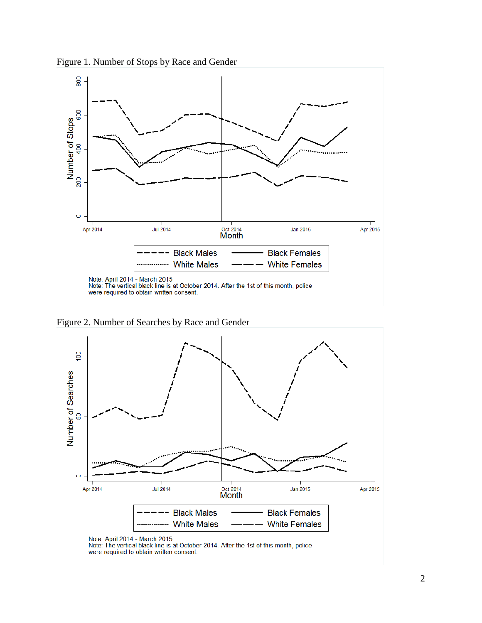



Figure 2. Number of Searches by Race and Gender



Note: April 2014 - March 2015<br>Note: The vertical black line is at October 2014. After the 1st of this month, police were required to obtain written consent.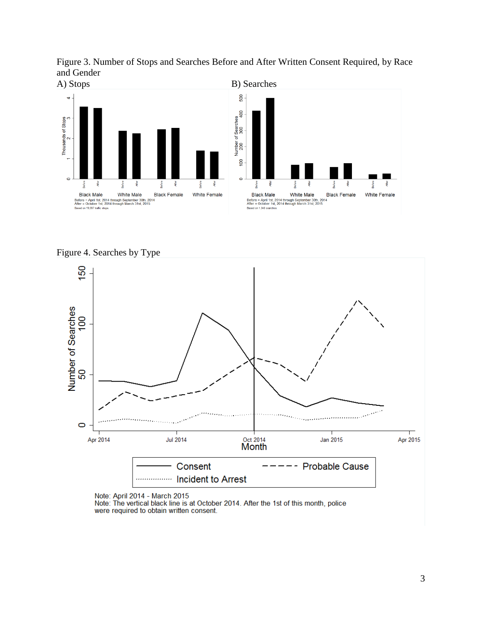





Figure 4. Searches by Type



Note: April 2014 - March 2015

Note: The vertical black line is at October 2014. After the 1st of this month, police were required to obtain written consent.